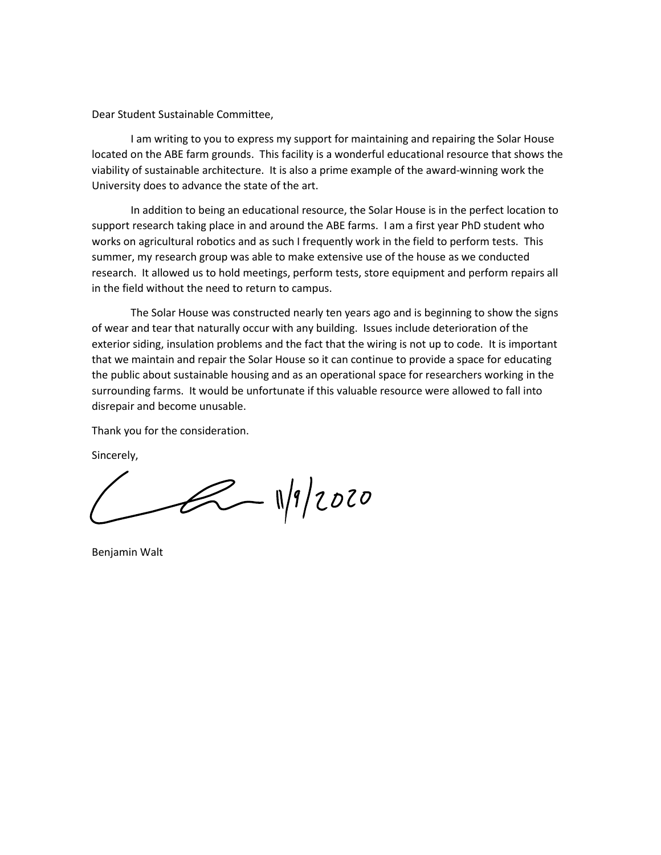Dear Student Sustainable Committee,

I am writing to you to express my support for maintaining and repairing the Solar House located on the ABE farm grounds. This facility is a wonderful educational resource that shows the viability of sustainable architecture. It is also a prime example of the award-winning work the University does to advance the state of the art.

In addition to being an educational resource, the Solar House is in the perfect location to support research taking place in and around the ABE farms. I am a first year PhD student who works on agricultural robotics and as such I frequently work in the field to perform tests. This summer, my research group was able to make extensive use of the house as we conducted research. It allowed us to hold meetings, perform tests, store equipment and perform repairs all in the field without the need to return to campus.

The Solar House was constructed nearly ten years ago and is beginning to show the signs of wear and tear that naturally occur with any building. Issues include deterioration of the exterior siding, insulation problems and the fact that the wiring is not up to code. It is important that we maintain and repair the Solar House so it can continue to provide a space for educating the public about sustainable housing and as an operational space for researchers working in the surrounding farms. It would be unfortunate if this valuable resource were allowed to fall into disrepair and become unusable.

Thank you for the consideration.

Sincerely,

 $2 - 1/9/2020$ 

Benjamin Walt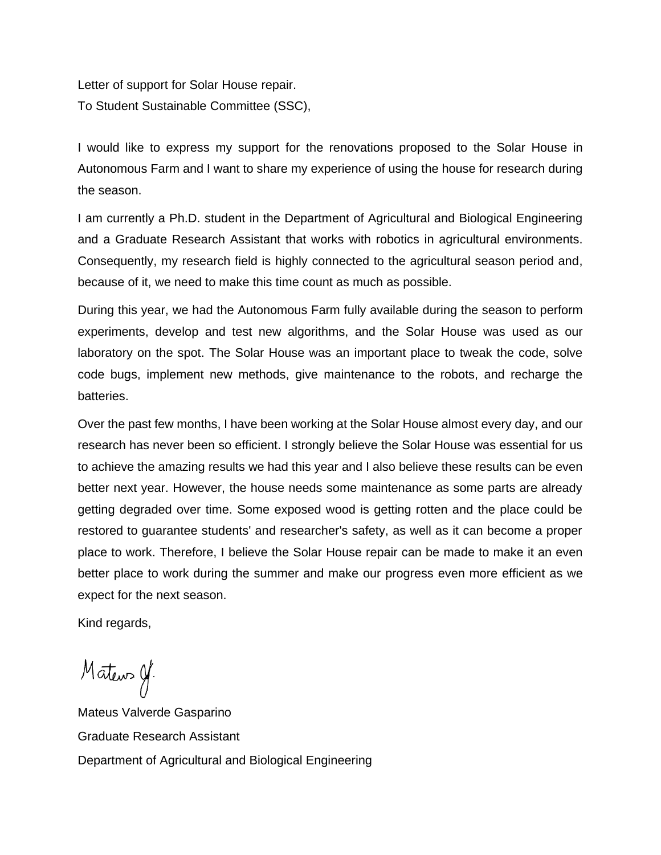Letter of support for Solar House repair. To Student Sustainable Committee (SSC),

I would like to express my support for the renovations proposed to the Solar House in Autonomous Farm and I want to share my experience of using the house for research during the season.

I am currently a Ph.D. student in the Department of Agricultural and Biological Engineering and a Graduate Research Assistant that works with robotics in agricultural environments. Consequently, my research field is highly connected to the agricultural season period and, because of it, we need to make this time count as much as possible.

During this year, we had the Autonomous Farm fully available during the season to perform experiments, develop and test new algorithms, and the Solar House was used as our laboratory on the spot. The Solar House was an important place to tweak the code, solve code bugs, implement new methods, give maintenance to the robots, and recharge the batteries.

Over the past few months, I have been working at the Solar House almost every day, and our research has never been so efficient. I strongly believe the Solar House was essential for us to achieve the amazing results we had this year and I also believe these results can be even better next year. However, the house needs some maintenance as some parts are already getting degraded over time. Some exposed wood is getting rotten and the place could be restored to guarantee students' and researcher's safety, as well as it can become a proper place to work. Therefore, I believe the Solar House repair can be made to make it an even better place to work during the summer and make our progress even more efficient as we expect for the next season.

Kind regards,

Mateurs Of

Mateus Valverde Gasparino Graduate Research Assistant Department of Agricultural and Biological Engineering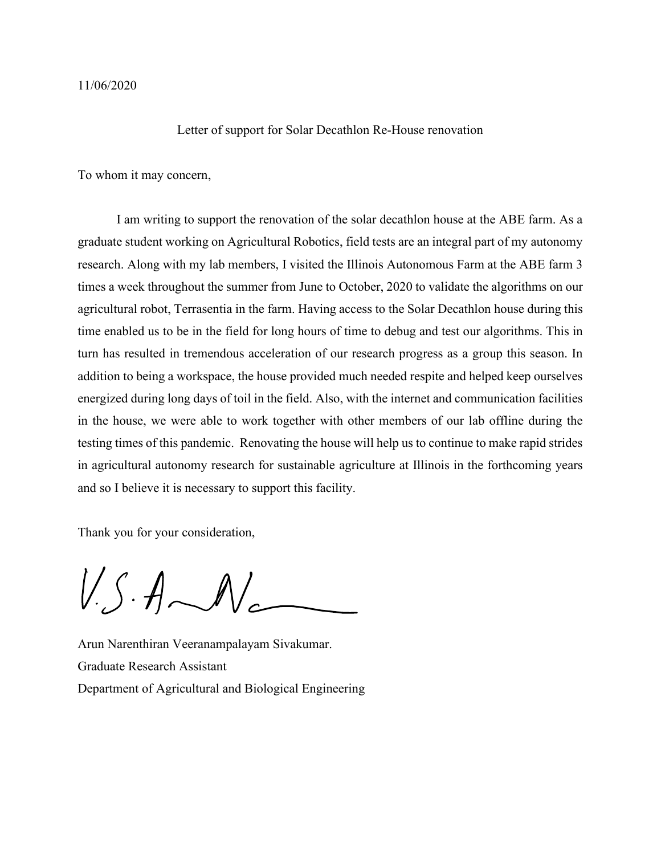## Letter of support for Solar Decathlon Re-House renovation

To whom it may concern,

I am writing to support the renovation of the solar decathlon house at the ABE farm. As a graduate student working on Agricultural Robotics, field tests are an integral part of my autonomy research. Along with my lab members, I visited the Illinois Autonomous Farm at the ABE farm 3 times a week throughout the summer from June to October, 2020 to validate the algorithms on our agricultural robot, Terrasentia in the farm. Having access to the Solar Decathlon house during this time enabled us to be in the field for long hours of time to debug and test our algorithms. This in turn has resulted in tremendous acceleration of our research progress as a group this season. In addition to being a workspace, the house provided much needed respite and helped keep ourselves energized during long days of toil in the field. Also, with the internet and communication facilities in the house, we were able to work together with other members of our lab offline during the testing times of this pandemic. Renovating the house will help us to continue to make rapid strides in agricultural autonomy research for sustainable agriculture at Illinois in the forthcoming years and so I believe it is necessary to support this facility.

Thank you for your consideration,

 $V.S.A.M$ 

Arun Narenthiran Veeranampalayam Sivakumar. Graduate Research Assistant Department of Agricultural and Biological Engineering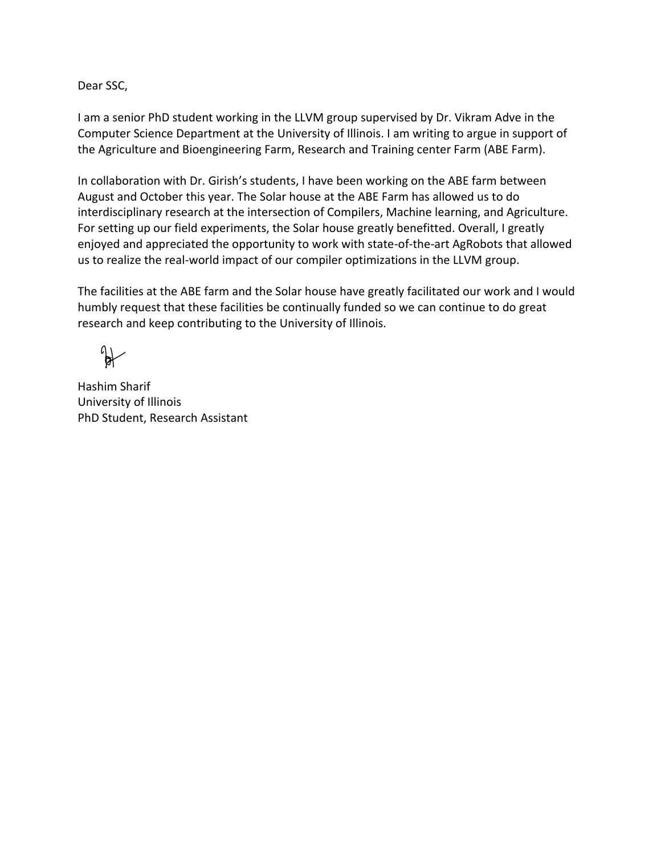Dear SSC,

I am a senior PhD student working in the LLVM group supervised by Dr. Vikram Adve in the Computer Science Department at the University of Illinois. I am writing to argue in support of the Agriculture and Bioengineering Farm, Research and Training center Farm (ABE Farm).

In collaboration with Dr. Girish's students, I have been working on the ABE farm between August and October this year. The Solar house at the ABE Farm has allowed us to do interdisciplinary research at the intersection of Compilers, Machine learning, and Agriculture. For setting up our field experiments, the Solar house greatly benefitted. Overall, I greatly enjoyed and appreciated the opportunity to work with state-of-the-art AgRobots that allowed us to realize the real-world impact of our compiler optimizations in the LLVM group.

The facilities at the ABE farm and the Solar house have greatly facilitated our work and I would humbly request that these facilities be continually funded so we can continue to do great research and keep contributing to the University of Illinois.

 $\mathbb{R}$ 

Hashim Sharif University of Illinois PhD Student, Research Assistant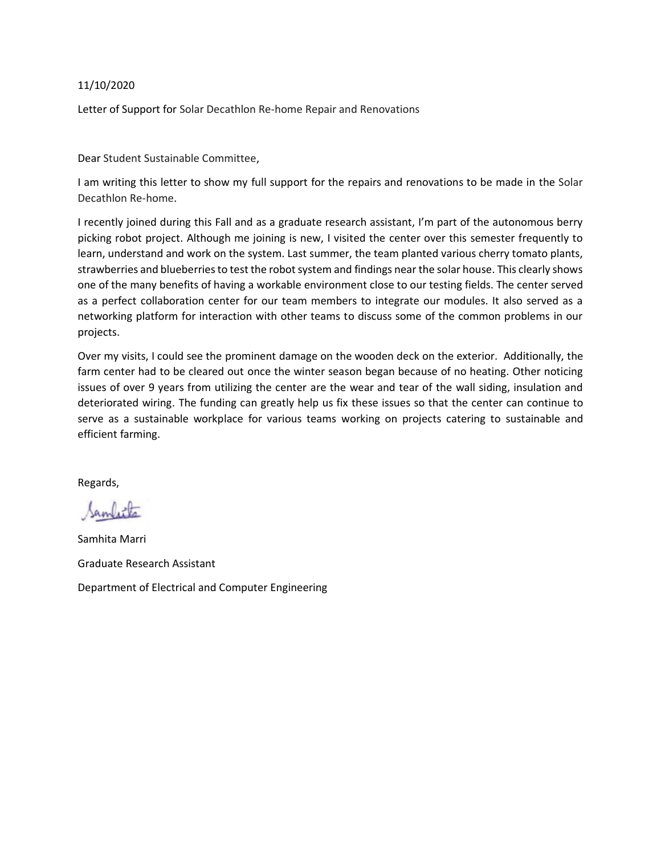## 11/10/2020

Letter of Support for Solar Decathlon Re-home Repair and Renovations

Dear Student Sustainable Committee,

I am writing this letter to show my full support for the repairs and renovations to be made in the Solar Decathlon Re-home.

I recently joined during this Fall and as a graduate research assistant, I'm part of the autonomous berry picking robot project. Although me joining is new, I visited the center over this semester frequently to learn, understand and work on the system. Last summer, the team planted various cherry tomato plants, strawberries and blueberries to test the robot system and findings near the solar house. This clearly shows one of the many benefits of having a workable environment close to our testing fields. The center served as a perfect collaboration center for our team members to integrate our modules. It also served as a networking platform for interaction with other teams to discuss some of the common problems in our projects.

Over my visits, I could see the prominent damage on the wooden deck on the exterior. Additionally, the farm center had to be cleared out once the winter season began because of no heating. Other noticing issues of over 9 years from utilizing the center are the wear and tear of the wall siding, insulation and deteriorated wiring. The funding can greatly help us fix these issues so that the center can continue to serve as a sustainable workplace for various teams working on projects catering to sustainable and efficient farming.

Regards,

Samfitta

Samhita Marri Graduate Research Assistant Department of Electrical and Computer Engineering